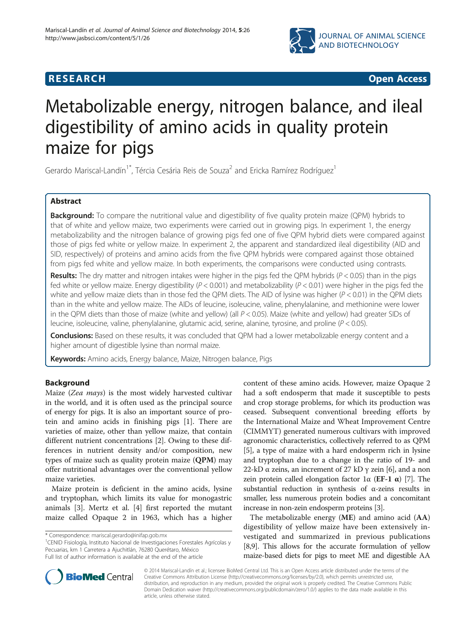

**RESEARCH CHINESE ARCH CHINESE ARCH CHINESE ARCH <b>CHINESE ARCH** 

# Metabolizable energy, nitrogen balance, and ileal digestibility of amino acids in quality protein maize for pigs

Gerardo Mariscal-Landín<sup>1\*</sup>, Tércia Cesária Reis de Souza<sup>2</sup> and Ericka Ramírez Rodríguez<sup>1</sup>

# Abstract

**Background:** To compare the nutritional value and digestibility of five quality protein maize (QPM) hybrids to that of white and yellow maize, two experiments were carried out in growing pigs. In experiment 1, the energy metabolizability and the nitrogen balance of growing pigs fed one of five QPM hybrid diets were compared against those of pigs fed white or yellow maize. In experiment 2, the apparent and standardized ileal digestibility (AID and SID, respectively) of proteins and amino acids from the five QPM hybrids were compared against those obtained from pigs fed white and yellow maize. In both experiments, the comparisons were conducted using contrasts.

Results: The dry matter and nitrogen intakes were higher in the pigs fed the QPM hybrids ( $P < 0.05$ ) than in the pigs fed white or yellow maize. Energy digestibility ( $P < 0.001$ ) and metabolizability ( $P < 0.01$ ) were higher in the pigs fed the white and yellow maize diets than in those fed the QPM diets. The AID of lysine was higher  $(P < 0.01)$  in the QPM diets than in the white and yellow maize. The AIDs of leucine, isoleucine, valine, phenylalanine, and methionine were lower in the QPM diets than those of maize (white and yellow) (all  $P < 0.05$ ). Maize (white and yellow) had greater SIDs of leucine, isoleucine, valine, phenylalanine, glutamic acid, serine, alanine, tyrosine, and proline (P < 0.05).

Conclusions: Based on these results, it was concluded that QPM had a lower metabolizable energy content and a higher amount of digestible lysine than normal maize.

Keywords: Amino acids, Energy balance, Maize, Nitrogen balance, Pigs

# Background

Maize (Zea mays) is the most widely harvested cultivar in the world, and it is often used as the principal source of energy for pigs. It is also an important source of protein and amino acids in finishing pigs [[1\]](#page-8-0). There are varieties of maize, other than yellow maize, that contain different nutrient concentrations [\[2](#page-8-0)]. Owing to these differences in nutrient density and/or composition, new types of maize such as quality protein maize (QPM) may offer nutritional advantages over the conventional yellow maize varieties.

Maize protein is deficient in the amino acids, lysine and tryptophan, which limits its value for monogastric animals [[3\]](#page-8-0). Mertz et al. [[4\]](#page-8-0) first reported the mutant maize called Opaque 2 in 1963, which has a higher

<sup>1</sup>CENID Fisiología, Instituto Nacional de Investigaciones Forestales Agrícolas y Pecuarias, km 1 Carretera a Ajuchitlán, 76280 Querétaro, México Full list of author information is available at the end of the article

content of these amino acids. However, maize Opaque 2 had a soft endosperm that made it susceptible to pests and crop storage problems, for which its production was ceased. Subsequent conventional breeding efforts by the International Maize and Wheat Improvement Centre (CIMMYT) generated numerous cultivars with improved agronomic characteristics, collectively referred to as QPM [[5\]](#page-8-0), a type of maize with a hard endosperm rich in lysine and tryptophan due to a change in the ratio of 19- and 22-kD  $\alpha$  zeins, an increment of 27 kD  $\gamma$  zein [\[6\]](#page-8-0), and a non zein protein called elongation factor 1α (**EF-1 α**) [\[7](#page-8-0)]. The substantial reduction in synthesis of α-zeins results in smaller, less numerous protein bodies and a concomitant increase in non-zein endosperm proteins [[3](#page-8-0)].

The metabolizable energy (ME) and amino acid (AA) digestibility of yellow maize have been extensively investigated and summarized in previous publications [[8,9](#page-8-0)]. This allows for the accurate formulation of yellow maize-based diets for pigs to meet ME and digestible AA



© 2014 Mariscal-Landín et al.; licensee BioMed Central Ltd. This is an Open Access article distributed under the terms of the Creative Commons Attribution License (<http://creativecommons.org/licenses/by/2.0>), which permits unrestricted use, distribution, and reproduction in any medium, provided the original work is properly credited. The Creative Commons Public Domain Dedication waiver [\(http://creativecommons.org/publicdomain/zero/1.0/\)](http://creativecommons.org/publicdomain/zero/1.0/) applies to the data made available in this article, unless otherwise stated.

<sup>\*</sup> Correspondence: [mariscal.gerardo@inifap.gob.mx](mailto:mariscal.gerardo@inifap.gob.mx) <sup>1</sup>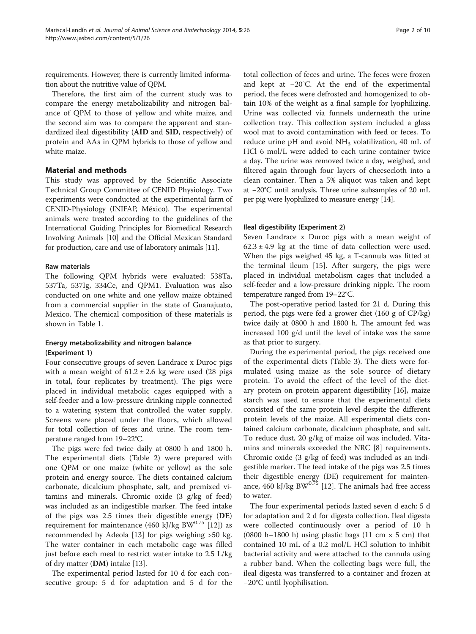requirements. However, there is currently limited information about the nutritive value of QPM.

Therefore, the first aim of the current study was to compare the energy metabolizability and nitrogen balance of QPM to those of yellow and white maize, and the second aim was to compare the apparent and standardized ileal digestibility (AID and SID, respectively) of protein and AAs in QPM hybrids to those of yellow and white maize.

#### Material and methods

This study was approved by the Scientific Associate Technical Group Committee of CENID Physiology. Two experiments were conducted at the experimental farm of CENID-Physiology (INIFAP, México). The experimental animals were treated according to the guidelines of the International Guiding Principles for Biomedical Research Involving Animals [\[10](#page-8-0)] and the Official Mexican Standard for production, care and use of laboratory animals [[11](#page-8-0)].

#### Raw materials

The following QPM hybrids were evaluated: 538Ta, 537Ta, 537Ig, 334Ce, and QPM1. Evaluation was also conducted on one white and one yellow maize obtained from a commercial supplier in the state of Guanajuato, Mexico. The chemical composition of these materials is shown in Table [1.](#page-2-0)

# Energy metabolizability and nitrogen balance (Experiment 1)

Four consecutive groups of seven Landrace x Duroc pigs with a mean weight of  $61.2 \pm 2.6$  kg were used (28 pigs in total, four replicates by treatment). The pigs were placed in individual metabolic cages equipped with a self-feeder and a low-pressure drinking nipple connected to a watering system that controlled the water supply. Screens were placed under the floors, which allowed for total collection of feces and urine. The room temperature ranged from 19–22°C.

The pigs were fed twice daily at 0800 h and 1800 h. The experimental diets (Table [2](#page-3-0)) were prepared with one QPM or one maize (white or yellow) as the sole protein and energy source. The diets contained calcium carbonate, dicalcium phosphate, salt, and premixed vitamins and minerals. Chromic oxide (3 g/kg of feed) was included as an indigestible marker. The feed intake of the pigs was 2.5 times their digestible energy (DE) requirement for maintenance (460 kJ/kg BW $^{0.75}$  [[12](#page-8-0)]) as recommended by Adeola [[13\]](#page-8-0) for pigs weighing >50 kg. The water container in each metabolic cage was filled just before each meal to restrict water intake to 2.5 L/kg of dry matter (DM) intake [[13\]](#page-8-0).

The experimental period lasted for 10 d for each consecutive group: 5 d for adaptation and 5 d for the total collection of feces and urine. The feces were frozen and kept at −20°C. At the end of the experimental period, the feces were defrosted and homogenized to obtain 10% of the weight as a final sample for lyophilizing. Urine was collected via funnels underneath the urine collection tray. This collection system included a glass wool mat to avoid contamination with feed or feces. To reduce urine pH and avoid  $NH<sub>3</sub>$  volatilization, 40 mL of HCl 6 mol/L were added to each urine container twice a day. The urine was removed twice a day, weighed, and filtered again through four layers of cheesecloth into a clean container. Then a 5% aliquot was taken and kept at −20°C until analysis. Three urine subsamples of 20 mL per pig were lyophilized to measure energy [[14](#page-8-0)].

## Ileal digestibility (Experiment 2)

Seven Landrace x Duroc pigs with a mean weight of  $62.3 \pm 4.9$  kg at the time of data collection were used. When the pigs weighed 45 kg, a T-cannula was fitted at the terminal ileum [[15](#page-8-0)]. After surgery, the pigs were placed in individual metabolism cages that included a self-feeder and a low-pressure drinking nipple. The room temperature ranged from 19–22°C.

The post-operative period lasted for 21 d. During this period, the pigs were fed a grower diet (160 g of CP/kg) twice daily at 0800 h and 1800 h. The amount fed was increased 100 g/d until the level of intake was the same as that prior to surgery.

During the experimental period, the pigs received one of the experimental diets (Table [3\)](#page-4-0). The diets were formulated using maize as the sole source of dietary protein. To avoid the effect of the level of the dietary protein on protein apparent digestibility [\[16\]](#page-8-0), maize starch was used to ensure that the experimental diets consisted of the same protein level despite the different protein levels of the maize. All experimental diets contained calcium carbonate, dicalcium phosphate, and salt. To reduce dust, 20 g/kg of maize oil was included. Vitamins and minerals exceeded the NRC [\[8](#page-8-0)] requirements. Chromic oxide (3 g/kg of feed) was included as an indigestible marker. The feed intake of the pigs was 2.5 times their digestible energy (DE) requirement for maintenance,  $460$  kJ/kg BW $^{0.75}$  [\[12](#page-8-0)]. The animals had free access to water.

The four experimental periods lasted seven d each: 5 d for adaptation and 2 d for digesta collection. Ileal digesta were collected continuously over a period of 10 h (0800 h–1800 h) using plastic bags (11 cm  $\times$  5 cm) that contained 10 mL of a 0.2 mol/L HCl solution to inhibit bacterial activity and were attached to the cannula using a rubber band. When the collecting bags were full, the ileal digesta was transferred to a container and frozen at −20°C until lyophilisation.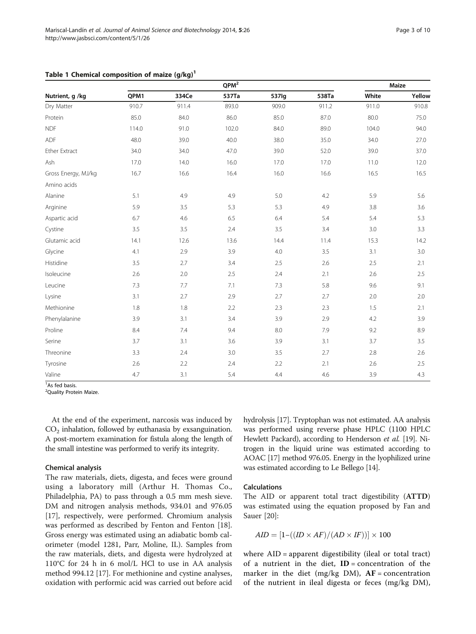|                     |       | Maize |       |       |       |       |        |
|---------------------|-------|-------|-------|-------|-------|-------|--------|
| Nutrient, g /kg     | QPM1  | 334Ce | 537Ta | 537lg | 538Ta | White | Yellow |
| Dry Matter          | 910.7 | 911.4 | 893.0 | 909.0 | 911.2 | 911.0 | 910.8  |
| Protein             | 85.0  | 84.0  | 86.0  | 85.0  | 87.0  | 80.0  | 75.0   |
| <b>NDF</b>          | 114.0 | 91.0  | 102.0 | 84.0  | 89.0  | 104.0 | 94.0   |
| ADF                 | 48.0  | 39.0  | 40.0  | 38.0  | 35.0  | 34.0  | 27.0   |
| Ether Extract       | 34.0  | 34.0  | 47.0  | 39.0  | 52.0  | 39.0  | 37.0   |
| Ash                 | 17.0  | 14.0  | 16.0  | 17.0  | 17.0  | 11.0  | 12.0   |
| Gross Energy, MJ/kg | 16.7  | 16.6  | 16.4  | 16.0  | 16.6  | 16.5  | 16.5   |
| Amino acids         |       |       |       |       |       |       |        |
| Alanine             | 5.1   | 4.9   | 4.9   | 5.0   | 4.2   | 5.9   | 5.6    |
| Arginine            | 5.9   | 3.5   | 5.3   | 5.3   | 4.9   | 3.8   | 3.6    |
| Aspartic acid       | 6.7   | 4.6   | 6.5   | 6.4   | 5.4   | 5.4   | 5.3    |
| Cystine             | 3.5   | 3.5   | 2.4   | 3.5   | 3.4   | 3.0   | 3.3    |
| Glutamic acid       | 14.1  | 12.6  | 13.6  | 14.4  | 11.4  | 15.3  | 14.2   |
| Glycine             | 4.1   | 2.9   | 3.9   | 4.0   | 3.5   | 3.1   | 3.0    |
| Histidine           | 3.5   | 2.7   | 3.4   | 2.5   | 2.6   | 2.5   | 2.1    |
| Isoleucine          | 2.6   | 2.0   | 2.5   | 2.4   | 2.1   | 2.6   | 2.5    |
| Leucine             | 7.3   | 7.7   | 7.1   | 7.3   | 5.8   | 9.6   | 9.1    |
| Lysine              | 3.1   | 2.7   | 2.9   | 2.7   | 2.7   | 2.0   | 2.0    |
| Methionine          | 1.8   | 1.8   | 2.2   | 2.3   | 2.3   | 1.5   | 2.1    |
| Phenylalanine       | 3.9   | 3.1   | 3.4   | 3.9   | 2.9   | 4.2   | 3.9    |
| Proline             | 8.4   | 7.4   | 9.4   | 8.0   | 7.9   | 9.2   | 8.9    |
| Serine              | 3.7   | 3.1   | 3.6   | 3.9   | 3.1   | 3.7   | 3.5    |
| Threonine           | 3.3   | 2.4   | 3.0   | 3.5   | 2.7   | 2.8   | 2.6    |
| Tyrosine            | 2.6   | 2.2   | 2.4   | 2.2   | 2.1   | 2.6   | 2.5    |
| Valine              | 4.7   | 3.1   | 5.4   | 4.4   | 4.6   | 3.9   | 4.3    |

# <span id="page-2-0"></span>Table 1 Chemical composition of maize  $(g/kg)^1$

<sup>1</sup>As fed basis.

<sup>2</sup>Quality Protein Maize.

At the end of the experiment, narcosis was induced by  $CO<sub>2</sub>$  inhalation, followed by euthanasia by exsanguination. A post-mortem examination for fistula along the length of the small intestine was performed to verify its integrity.

#### Chemical analysis

The raw materials, diets, digesta, and feces were ground using a laboratory mill (Arthur H. Thomas Co., Philadelphia, PA) to pass through a 0.5 mm mesh sieve. DM and nitrogen analysis methods, 934.01 and 976.05 [[17\]](#page-8-0), respectively, were performed. Chromium analysis was performed as described by Fenton and Fenton [\[18](#page-9-0)]. Gross energy was estimated using an adiabatic bomb calorimeter (model 1281, Parr, Moline, IL). Samples from the raw materials, diets, and digesta were hydrolyzed at 110°C for 24 h in 6 mol/L HCl to use in AA analysis method 994.12 [\[17\]](#page-8-0). For methionine and cystine analyses, oxidation with performic acid was carried out before acid hydrolysis [[17](#page-8-0)]. Tryptophan was not estimated. AA analysis was performed using reverse phase HPLC (1100 HPLC Hewlett Packard), according to Henderson et al. [\[19\]](#page-9-0). Nitrogen in the liquid urine was estimated according to AOAC [\[17\]](#page-8-0) method 976.05. Energy in the lyophilized urine was estimated according to Le Bellego [[14](#page-8-0)].

#### Calculations

The AID or apparent total tract digestibility (ATTD) was estimated using the equation proposed by Fan and Sauer [[20](#page-9-0)]:

$$
AID = [1-((ID \times AF)/(AD \times IF))] \times 100
$$

where AID = apparent digestibility (ileal or total tract) of a nutrient in the diet,  $ID = concentration$  of the marker in the diet (mg/kg DM),  $AF = concentration$ of the nutrient in ileal digesta or feces (mg/kg DM),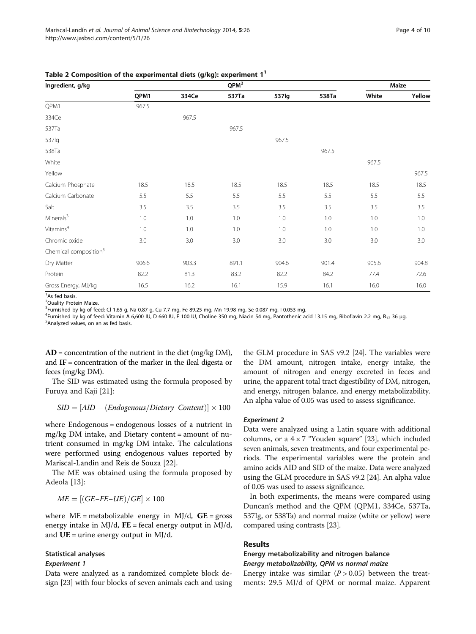<span id="page-3-0"></span>

|  |  | Table 2 Composition of the experimental diets (g/kg): experiment $1^1$ |
|--|--|------------------------------------------------------------------------|
|--|--|------------------------------------------------------------------------|

| Ingredient, g/kg                  |       |       | $QPM^2$ |       |       |       | Maize  |
|-----------------------------------|-------|-------|---------|-------|-------|-------|--------|
|                                   | QPM1  | 334Ce | 537Ta   | 537lg | 538Ta | White | Yellow |
| QPM1                              | 967.5 |       |         |       |       |       |        |
| 334Ce                             |       | 967.5 |         |       |       |       |        |
| 537Ta                             |       |       | 967.5   |       |       |       |        |
| 537lg                             |       |       |         | 967.5 |       |       |        |
| 538Ta                             |       |       |         |       | 967.5 |       |        |
| White                             |       |       |         |       |       | 967.5 |        |
| Yellow                            |       |       |         |       |       |       | 967.5  |
| Calcium Phosphate                 | 18.5  | 18.5  | 18.5    | 18.5  | 18.5  | 18.5  | 18.5   |
| Calcium Carbonate                 | 5.5   | 5.5   | 5.5     | 5.5   | 5.5   | 5.5   | 5.5    |
| Salt                              | 3.5   | 3.5   | 3.5     | 3.5   | 3.5   | 3.5   | 3.5    |
| Minerals <sup>3</sup>             | 1.0   | 1.0   | 1.0     | 1.0   | 1.0   | 1.0   | 1.0    |
| $V$ itamins <sup>4</sup>          | 1.0   | 1.0   | 1.0     | 1.0   | 1.0   | 1.0   | 1.0    |
| Chromic oxide                     | 3.0   | 3.0   | 3.0     | 3.0   | 3.0   | 3.0   | 3.0    |
| Chemical composition <sup>5</sup> |       |       |         |       |       |       |        |
| Dry Matter                        | 906.6 | 903.3 | 891.1   | 904.6 | 901.4 | 905.6 | 904.8  |
| Protein                           | 82.2  | 81.3  | 83.2    | 82.2  | 84.2  | 77.4  | 72.6   |
| Gross Energy, MJ/kg               | 16.5  | 16.2  | 16.1    | 15.9  | 16.1  | 16.0  | 16.0   |

<sup>1</sup>As fed basis.

<sup>2</sup>Quality Protein Maize. <sup>3</sup>Furnished by kg of feed: Cl 1.65 g, Na 0.87 g, Cu 7.7 mg, Fe 89.25 mg, Mn 19.98 mg, Se 0.087 mg, I 0.053 mg.

<sup>4</sup>Furnished by kg of feed: Vitamin A 6,600 IU, D 660 IU, E 100 IU, Choline 350 mg, Niacin 54 mg, Pantothenic acid 13.15 mg, Riboflavin 2.2 mg, B<sub>12</sub> 36 μg.<br><sup>5</sup>Analyzed values on an as fed basis <sup>5</sup> Analyzed values, on an as fed basis.

 $AD =$  concentration of the nutrient in the diet (mg/kg DM), and  $IF = concentration of the marker in the ideal digesta or$ feces (mg/kg DM).

The SID was estimated using the formula proposed by Furuya and Kaji [[21\]](#page-9-0):

$$
SID = [AID + (Endogenous/Dietary\ Content)] \times 100
$$

where Endogenous = endogenous losses of a nutrient in mg/kg DM intake, and Dietary content = amount of nutrient consumed in mg/kg DM intake. The calculations were performed using endogenous values reported by Mariscal-Landin and Reis de Souza [\[22](#page-9-0)].

The ME was obtained using the formula proposed by Adeola [\[13](#page-8-0)]:

$$
ME = [(GE-FE-UE)/GE] \times 100
$$

where  $ME =$  metabolizable energy in MJ/d,  $GE =$  gross energy intake in MJ/d,  $FE = fecal$  energy output in MJ/d, and  $UE =$  urine energy output in MJ/d.

#### Statistical analyses

#### Experiment 1

Data were analyzed as a randomized complete block design [[23](#page-9-0)] with four blocks of seven animals each and using the GLM procedure in SAS v9.2 [\[24\]](#page-9-0). The variables were the DM amount, nitrogen intake, energy intake, the amount of nitrogen and energy excreted in feces and urine, the apparent total tract digestibility of DM, nitrogen, and energy, nitrogen balance, and energy metabolizability. An alpha value of 0.05 was used to assess significance.

#### Experiment 2

Data were analyzed using a Latin square with additional columns, or a  $4 \times 7$  "Youden square" [\[23\]](#page-9-0), which included seven animals, seven treatments, and four experimental periods. The experimental variables were the protein and amino acids AID and SID of the maize. Data were analyzed using the GLM procedure in SAS v9.2 [\[24\]](#page-9-0). An alpha value of 0.05 was used to assess significance.

In both experiments, the means were compared using Duncan's method and the QPM (QPM1, 334Ce, 537Ta, 537Ig, or 538Ta) and normal maize (white or yellow) were compared using contrasts [\[23](#page-9-0)].

#### Results

# Energy metabolizability and nitrogen balance Energy metabolizability, QPM vs normal maize

Energy intake was similar ( $P > 0.05$ ) between the treatments: 29.5 MJ/d of QPM or normal maize. Apparent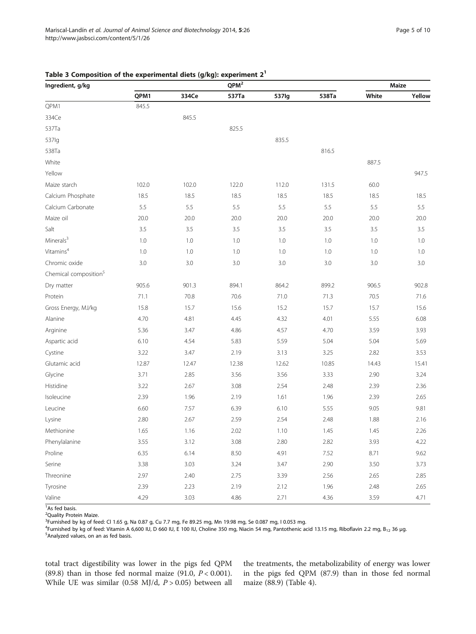## <span id="page-4-0"></span>Table 3 Composition of the experimental diets (g/kg): experiment  $2<sup>1</sup>$

| Ingredient, g/kg                  |       |       | QPM <sup>2</sup> |       | Maize   |       |        |
|-----------------------------------|-------|-------|------------------|-------|---------|-------|--------|
|                                   | QPM1  | 334Ce | 537Ta            | 537lg | 538Ta   | White | Yellow |
| QPM1                              | 845.5 |       |                  |       |         |       |        |
| 334Ce                             |       | 845.5 |                  |       |         |       |        |
| 537Ta                             |       |       | 825.5            |       |         |       |        |
| 537lg                             |       |       |                  | 835.5 |         |       |        |
| 538Ta                             |       |       |                  |       | 816.5   |       |        |
| White                             |       |       |                  |       |         | 887.5 |        |
| Yellow                            |       |       |                  |       |         |       | 947.5  |
| Maize starch                      | 102.0 | 102.0 | 122.0            | 112.0 | 131.5   | 60.0  |        |
| Calcium Phosphate                 | 18.5  | 18.5  | 18.5             | 18.5  | 18.5    | 18.5  | 18.5   |
| Calcium Carbonate                 | 5.5   | 5.5   | 5.5              | 5.5   | 5.5     | 5.5   | 5.5    |
| Maize oil                         | 20.0  | 20.0  | 20.0             | 20.0  | 20.0    | 20.0  | 20.0   |
| Salt                              | 3.5   | 3.5   | 3.5              | 3.5   | 3.5     | 3.5   | 3.5    |
| Minerals <sup>3</sup>             | 1.0   | 1.0   | 1.0              | 1.0   | 1.0     | 1.0   | 1.0    |
| Vitamins <sup>4</sup>             | 1.0   | 1.0   | 1.0              | 1.0   | 1.0     | 1.0   | 1.0    |
| Chromic oxide                     | 3.0   | 3.0   | 3.0              | 3.0   | $3.0\,$ | 3.0   | 3.0    |
| Chemical composition <sup>5</sup> |       |       |                  |       |         |       |        |
| Dry matter                        | 905.6 | 901.3 | 894.1            | 864.2 | 899.2   | 906.5 | 902.8  |
| Protein                           | 71.1  | 70.8  | 70.6             | 71.0  | 71.3    | 70.5  | 71.6   |
| Gross Energy, MJ/kg               | 15.8  | 15.7  | 15.6             | 15.2  | 15.7    | 15.7  | 15.6   |
| Alanine                           | 4.70  | 4.81  | 4.45             | 4.32  | 4.01    | 5.55  | 6.08   |
| Arginine                          | 5.36  | 3.47  | 4.86             | 4.57  | 4.70    | 3.59  | 3.93   |
| Aspartic acid                     | 6.10  | 4.54  | 5.83             | 5.59  | 5.04    | 5.04  | 5.69   |
| Cystine                           | 3.22  | 3.47  | 2.19             | 3.13  | 3.25    | 2.82  | 3.53   |
| Glutamic acid                     | 12.87 | 12.47 | 12.38            | 12.62 | 10.85   | 14.43 | 15.41  |
| Glycine                           | 3.71  | 2.85  | 3.56             | 3.56  | 3.33    | 2.90  | 3.24   |
| Histidine                         | 3.22  | 2.67  | 3.08             | 2.54  | 2.48    | 2.39  | 2.36   |
| Isoleucine                        | 2.39  | 1.96  | 2.19             | 1.61  | 1.96    | 2.39  | 2.65   |
| Leucine                           | 6.60  | 7.57  | 6.39             | 6.10  | 5.55    | 9.05  | 9.81   |
| Lysine                            | 2.80  | 2.67  | 2.59             | 2.54  | 2.48    | 1.88  | 2.16   |
| Methionine                        | 1.65  | 1.16  | 2.02             | 1.10  | 1.45    | 1.45  | 2.26   |
| Phenylalanine                     | 3.55  | 3.12  | 3.08             | 2.80  | 2.82    | 3.93  | 4.22   |
| Proline                           | 6.35  | 6.14  | 8.50             | 4.91  | 7.52    | 8.71  | 9.62   |
| Serine                            | 3.38  | 3.03  | 3.24             | 3.47  | 2.90    | 3.50  | 3.73   |
| Threonine                         | 2.97  | 2.40  | 2.75             | 3.39  | 2.56    | 2.65  | 2.85   |
| Tyrosine                          | 2.39  | 2.23  | 2.19             | 2.12  | 1.96    | 2.48  | 2.65   |
| Valine                            | 4.29  | 3.03  | 4.86             | 2.71  | 4.36    | 3.59  | 4.71   |

<sup>1</sup>As fed basis.

<sup>2</sup>Quality Protein Maize.

<sup>3</sup>Furnished by kg of feed: Cl 1.65 g, Na 0.87 g, Cu 7.7 mg, Fe 89.25 mg, Mn 19.98 mg, Se 0.087 mg, I 0.053 mg.

<sup>4</sup> Furnished by kg of feed: Vitamin A 6,600 IU, D 660 IU, E 100 IU, Choline 350 mg, Niacin 54 mg, Pantothenic acid 13.15 mg, Riboflavin 2.2 mg, B<sub>12</sub> 36 μg.<br><sup>5</sup>Analyzed values on an as fed basis  $5$ Analyzed values, on an as fed basis.

total tract digestibility was lower in the pigs fed QPM (89.8) than in those fed normal maize (91.0,  $P < 0.001$ ). While UE was similar (0.58 MJ/d,  $P > 0.05$ ) between all

the treatments, the metabolizability of energy was lower in the pigs fed QPM (87.9) than in those fed normal maize (88.9) (Table [4\)](#page-5-0).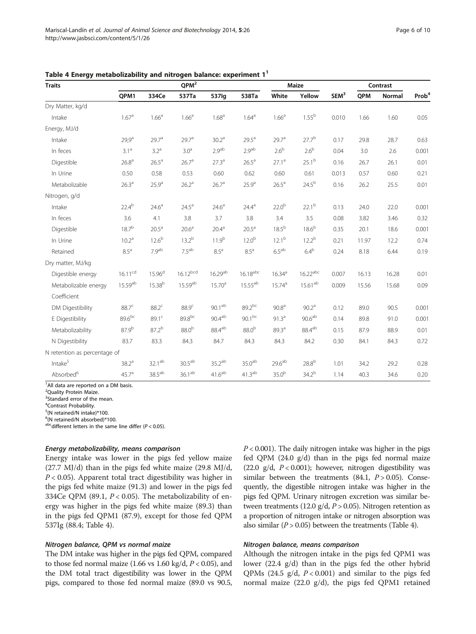| <b>Traits</b>                | $QPM^2$             |                    |                      |                    |                        |                   | <b>Maize</b>           |                  | Contrast |        |                   |
|------------------------------|---------------------|--------------------|----------------------|--------------------|------------------------|-------------------|------------------------|------------------|----------|--------|-------------------|
|                              | QPM1                | 334Ce              | 537Ta                | 537lg              | 538Ta                  | White             | Yellow                 | SEM <sup>3</sup> | QPM      | Normal | Prob <sup>4</sup> |
| Dry Matter, kg/d             |                     |                    |                      |                    |                        |                   |                        |                  |          |        |                   |
| Intake                       | 1.67 <sup>a</sup>   | 1.66 <sup>a</sup>  | 1.66 <sup>a</sup>    | 1.68 <sup>a</sup>  | $1.64^{\circ}$         | 1.66 <sup>a</sup> | $1.55^{b}$             | 0.010            | 1.66     | 1.60   | 0.05              |
| Energy, MJ/d                 |                     |                    |                      |                    |                        |                   |                        |                  |          |        |                   |
| Intake                       | $29,9^a$            | 29.7 <sup>a</sup>  | 29.7 <sup>a</sup>    | 30.2 <sup>a</sup>  | $29.5^a$               | $29.7^{\circ}$    | $27.7^{b}$             | 0.17             | 29.8     | 28.7   | 0.63              |
| In feces                     | 3.1 <sup>a</sup>    | 3.2 <sup>a</sup>   | 3.0 <sup>a</sup>     | $2.9^{\rm ab}$     | $2.9^{\sf ab}$         | 2.6 <sup>b</sup>  | 2.6 <sup>b</sup>       | 0.04             | 3.0      | 2.6    | 0.001             |
| Digestible                   | 26.8 <sup>a</sup>   | 26.5 <sup>a</sup>  | 26.7 <sup>a</sup>    | 27.3 <sup>a</sup>  | 26.5 <sup>a</sup>      | $27.1^a$          | $25.1^{b}$             | 0.16             | 26.7     | 26.1   | 0.01              |
| In Urine                     | 0.50                | 0.58               | 0.53                 | 0.60               | 0.62                   | 0.60              | 0.61                   | 0.013            | 0.57     | 0.60   | 0.21              |
| Metabolizable                | 26.3 <sup>a</sup>   | 25.9 <sup>a</sup>  | 26.2 <sup>a</sup>    | 26.7 <sup>a</sup>  | 25.9 <sup>a</sup>      | 26.5 <sup>a</sup> | $24.5^{b}$             | 0.16             | 26.2     | 25.5   | 0.01              |
| Nitrogen, g/d                |                     |                    |                      |                    |                        |                   |                        |                  |          |        |                   |
| Intake                       | $22.4^{b}$          | $24.6^{\circ}$     | $24.5^a$             | $24.6^{\circ}$     | $24.4^{\circ}$         | 22.0 <sup>b</sup> | $22.1^{\rm b}$         | 0.13             | 24.0     | 22.0   | 0.001             |
| In feces                     | 3.6                 | 4.1                | 3.8                  | 3.7                | 3.8                    | 3.4               | 3.5                    | 0.08             | 3.82     | 3.46   | 0.32              |
| Digestible                   | $18.7^{b}$          | 20.5 <sup>a</sup>  | 20.6 <sup>a</sup>    | 20.4 <sup>a</sup>  | 20.5 <sup>a</sup>      | $18.5^{b}$        | 18.6 <sup>b</sup>      | 0.35             | 20.1     | 18.6   | 0.001             |
| In Urine                     | 10.2 <sup>a</sup>   | $12.6^{b}$         | $13.2^{b}$           | $11.9^{b}$         | 12.0 <sup>b</sup>      | $12.1^{b}$        | $12.2^{b}$             | 0.21             | 11.97    | 12.2   | 0.74              |
| Retained                     | $8.5^{\circ}$       | 7.9 <sup>ab</sup>  | $7.5^{\sf ab}$       | $8.5^{\mathrm{a}}$ | 8.5 <sup>a</sup>       | $6.5^{\rm ab}$    | $6.4^b$                | 0.24             | 8.18     | 6.44   | 0.19              |
| Dry matter, MJ/kg            |                     |                    |                      |                    |                        |                   |                        |                  |          |        |                   |
| Digestible energy            | $16.11^{cd}$        | $15.96^{d}$        | 16.12 <sup>bcd</sup> | $16.29^{ab}$       | $16.18$ <sup>abc</sup> | $16.34^{a}$       | $16.22$ <sup>abc</sup> | 0.007            | 16.13    | 16.28  | 0.01              |
| Metabolizable energy         | 15.59 <sup>ab</sup> | 15.38 <sup>b</sup> | 15.59ab              | 15.70 <sup>a</sup> | $15.55^{ab}$           | $15.74^{a}$       | $15.61^{ab}$           | 0.009            | 15.56    | 15.68  | 0.09              |
| Coefficient                  |                     |                    |                      |                    |                        |                   |                        |                  |          |        |                   |
| DM Digestibility             | 88.7 <sup>c</sup>   | $88.2^c$           | $88.9^{\circ}$       | $90.1^\mathrm{ab}$ | $89.2^{bc}$            | 90.8 <sup>a</sup> | $90.2^{\circ}$         | 0.12             | 89.0     | 90.5   | 0.001             |
| E Digestibility              | 89.6bc              | 89.1 <sup>c</sup>  | 89.8bc               | $90.4^\mathrm{ab}$ | $90.1^{bc}$            | 91.3 <sup>a</sup> | $90.6^{\rm ab}$        | 0.14             | 89.8     | 91.0   | 0.001             |
| Metabolizability             | $87.9^{b}$          | $87.2^{b}$         | 88.0 <sup>b</sup>    | 88.4ab             | 88.0 <sup>b</sup>      | 89.3 <sup>a</sup> | $88.4^{\rm ab}$        | 0.15             | 87.9     | 88.9   | 0.01              |
| N Digestibility              | 83.7                | 83.3               | 84.3                 | 84.7               | 84.3                   | 84.3              | 84.2                   | 0.30             | 84.1     | 84.3   | 0.72              |
| N retention as percentage of |                     |                    |                      |                    |                        |                   |                        |                  |          |        |                   |
| $\mathsf{Intake}^5$          | $38.2^{a}$          | $32.1^{ab}$        | $30.5^{\sf ab}$      | 35.2 <sup>ab</sup> | $35.0^{\rm ab}$        | $29.6^{\rm ab}$   | 28.8 <sup>b</sup>      | 1.01             | 34.2     | 29.2   | 0.28              |
| Absorbed <sup>6</sup>        | 45.7 <sup>a</sup>   | $38.5^{\sf ab}$    | $36.1^\mathrm{ab}$   | 41.6 <sup>ab</sup> | 41.3 <sup>ab</sup>     | 35.0 <sup>b</sup> | $34.2^{b}$             | 1.14             | 40.3     | 34.6   | 0.20              |

<span id="page-5-0"></span>Table 4 Energy metabolizability and nitrogen balance: experiment 1<sup>1</sup>

<sup>1</sup> All data are reported on a DM basis.

<sup>2</sup> Quality Protein Maize.

<sup>3</sup>Standard error of the mean.

4 Contrast Probability.

5 (N retained/N intake)\*100.

<sup>6</sup>(N retained/N absorbed)\*100.<br><sup>abc</sup>different letters in the same line differ (*P* < 0.05).

#### Energy metabolizability, means comparison

Energy intake was lower in the pigs fed yellow maize (27.7 MJ/d) than in the pigs fed white maize (29.8 MJ/d,  $P < 0.05$ ). Apparent total tract digestibility was higher in the pigs fed white maize (91.3) and lower in the pigs fed 334Ce QPM (89.1,  $P < 0.05$ ). The metabolizability of energy was higher in the pigs fed white maize (89.3) than in the pigs fed QPM1 (87.9), except for those fed QPM 537Ig (88.4; Table 4).

#### Nitrogen balance, QPM vs normal maize

The DM intake was higher in the pigs fed QPM, compared to those fed normal maize (1.66 vs 1.60 kg/d,  $P < 0.05$ ), and the DM total tract digestibility was lower in the QPM pigs, compared to those fed normal maize (89.0 vs 90.5,  $P < 0.001$ ). The daily nitrogen intake was higher in the pigs fed QPM (24.0 g/d) than in the pigs fed normal maize (22.0 g/d,  $P < 0.001$ ); however, nitrogen digestibility was similar between the treatments (84.1,  $P > 0.05$ ). Consequently, the digestible nitrogen intake was higher in the pigs fed QPM. Urinary nitrogen excretion was similar between treatments (12.0 g/d,  $P > 0.05$ ). Nitrogen retention as a proportion of nitrogen intake or nitrogen absorption was also similar ( $P > 0.05$ ) between the treatments (Table 4).

#### Nitrogen balance, means comparison

Although the nitrogen intake in the pigs fed QPM1 was lower (22.4 g/d) than in the pigs fed the other hybrid QPMs (24.5 g/d,  $P < 0.001$ ) and similar to the pigs fed normal maize (22.0 g/d), the pigs fed QPM1 retained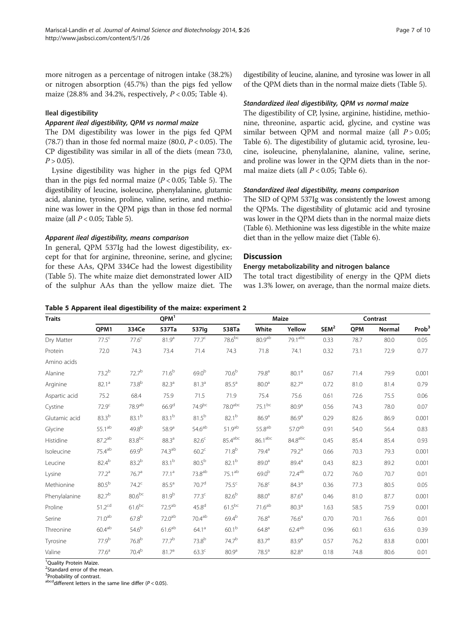more nitrogen as a percentage of nitrogen intake (38.2%) or nitrogen absorption (45.7%) than the pigs fed yellow maize (28.8% and 34.2%, respectively,  $P < 0.05$ ; Table [4](#page-5-0)).

## Ileal digestibility

# Apparent ileal digestibility, QPM vs normal maize

The DM digestibility was lower in the pigs fed QPM (78.7) than in those fed normal maize (80.0,  $P < 0.05$ ). The CP digestibility was similar in all of the diets (mean 73.0,  $P > 0.05$ ).

Lysine digestibility was higher in the pigs fed QPM than in the pigs fed normal maize  $(P < 0.05$ ; Table 5). The digestibility of leucine, isoleucine, phenylalanine, glutamic acid, alanine, tyrosine, proline, valine, serine, and methionine was lower in the QPM pigs than in those fed normal maize (all  $P < 0.05$ ; Table 5).

## Apparent ileal digestibility, means comparison

In general, QPM 537Ig had the lowest digestibility, except for that for arginine, threonine, serine, and glycine; for these AAs, QPM 334Ce had the lowest digestibility (Table 5). The white maize diet demonstrated lower AID of the sulphur AAs than the yellow maize diet. The

```
digestibility of leucine, alanine, and tyrosine was lower in all
of the QPM diets than in the normal maize diets (Table 5).
```
# Standardized ileal digestibility, QPM vs normal maize

The digestibility of CP, lysine, arginine, histidine, methionine, threonine, aspartic acid, glycine, and cystine was similar between OPM and normal maize (all  $P > 0.05$ ; Table [6\)](#page-7-0). The digestibility of glutamic acid, tyrosine, leucine, isoleucine, phenylalanine, alanine, valine, serine, and proline was lower in the QPM diets than in the normal maize diets (all  $P < 0.05$ ; Table [6\)](#page-7-0).

# Standardized ileal digestibility, means comparison

The SID of QPM 537Ig was consistently the lowest among the QPMs. The digestibility of glutamic acid and tyrosine was lower in the QPM diets than in the normal maize diets (Table [6\)](#page-7-0). Methionine was less digestible in the white maize diet than in the yellow maize diet (Table [6](#page-7-0)).

## **Discussion**

# Energy metabolizability and nitrogen balance

The total tract digestibility of energy in the QPM diets was 1.3% lower, on average, than the normal maize diets.

|  |  | Table 5 Apparent ileal digestibility of the maize: experiment 2 |
|--|--|-----------------------------------------------------------------|
|--|--|-----------------------------------------------------------------|

| <b>Traits</b> |                    |                    | QPM <sup>1</sup>   |                    |                       | Maize               |                     | Contrast         |      |        |                   |
|---------------|--------------------|--------------------|--------------------|--------------------|-----------------------|---------------------|---------------------|------------------|------|--------|-------------------|
|               | QPM1               | 334Ce              | 537Ta              | 537lg              | 538Ta                 | White               | Yellow              | SEM <sup>2</sup> | QPM  | Normal | Prob <sup>3</sup> |
| Dry Matter    | $77.5^{\circ}$     | $77.6^c$           | $81.9^{\rm a}$     | $77.7^c$           | $78.6^{bc}$           | 80.9 <sup>ab</sup>  | 79.1 <sup>abc</sup> | 0.33             | 78.7 | 80.0   | 0.05              |
| Protein       | 72.0               | 74.3               | 73.4               | 71.4               | 74.3                  | 71.8                | 74.1                | 0.32             | 73.1 | 72.9   | 0.77              |
| Amino acids   |                    |                    |                    |                    |                       |                     |                     |                  |      |        |                   |
| Alanine       | $73.2^{b}$         | $72.7^{b}$         | $71.6^{b}$         | 69.0 <sup>b</sup>  | 70.6 <sup>b</sup>     | 79.8 <sup>a</sup>   | 80.1 <sup>a</sup>   | 0.67             | 71.4 | 79.9   | 0.001             |
| Arginine      | $82.1^a$           | $73.8^{b}$         | 82.3 <sup>a</sup>  | 81.3 <sup>a</sup>  | 85.5 <sup>a</sup>     | 80.0 <sup>a</sup>   | 82.7 <sup>a</sup>   | 0.72             | 81.0 | 81.4   | 0.79              |
| Aspartic acid | 75.2               | 68.4               | 75.9               | 71.5               | 71.9                  | 75.4                | 75.6                | 0.61             | 72.6 | 75.5   | 0.06              |
| Cystine       | $72.9^c$           | 78.9 <sup>ab</sup> | 66.9 <sup>d</sup>  | 74.9 <sup>bc</sup> | 78.0 <sup>abc</sup>   | $75.1^{bc}$         | 80.9 <sup>a</sup>   | 0.56             | 74.3 | 78.0   | 0.07              |
| Glutamic acid | $83.3^{b}$         | $83.1^{b}$         | $83.1^{b}$         | $81.5^{b}$         | $82.1^{b}$            | 86.9 <sup>a</sup>   | 86.9 <sup>a</sup>   | 0.29             | 82.6 | 86.9   | 0.001             |
| Glycine       | $55.1^\mathrm{ab}$ | $49.8^{b}$         | 58.9 <sup>a</sup>  | 54.6 <sup>ab</sup> | 51.9 <sup>ab</sup>    | $55.8^{ab}$         | 57.0 <sup>ab</sup>  | 0.91             | 54.0 | 56.4   | 0.83              |
| Histidine     | 87.2 <sup>ab</sup> | $83.8^{bc}$        | 88.3 <sup>a</sup>  | $82.6^{\circ}$     | $85.4$ <sup>abc</sup> | 86.1 <sup>abc</sup> | 84.8 <sup>abc</sup> | 0.45             | 85.4 | 85.4   | 0.93              |
| Isoleucine    | $75.4^{ab}$        | $69.9^{b}$         | 74.3 <sup>ab</sup> | $60.2^{\circ}$     | $71.8^{b}$            | 79.4 <sup>a</sup>   | 79.2 <sup>a</sup>   | 0.66             | 70.3 | 79.3   | 0.001             |
| Leucine       | 82.4 <sup>b</sup>  | $83.2^{b}$         | $83.1^{b}$         | 80.5 <sup>b</sup>  | $82.1^{b}$            | $89.0^{\circ}$      | $89.4^{\circ}$      | 0.43             | 82.3 | 89.2   | 0.001             |
| Lysine        | 77.2 <sup>a</sup>  | 76.7 <sup>a</sup>  | $77.1^a$           | 73.8 <sup>ab</sup> | $75.1^{ab}$           | 69.0 <sup>b</sup>   | $72.4^\mathrm{ab}$  | 0.72             | 76.0 | 70.7   | 0.01              |
| Methionine    | 80.5 <sup>b</sup>  | $74.2^c$           | 85.5 <sup>a</sup>  | 70.7 <sup>d</sup>  | $75.5^{\circ}$        | 76.8 <sup>c</sup>   | 84.3 <sup>a</sup>   | 0.36             | 77.3 | 80.5   | 0.05              |
| Phenylalanine | $82.7^{b}$         | $80.6^{bc}$        | $81.9^{b}$         | $77.3^c$           | $82.6^b$              | 88.0 <sup>a</sup>   | $87.6^{\circ}$      | 0.46             | 81.0 | 87.7   | 0.001             |
| Proline       | 51.2 <sup>cd</sup> | $61.6^{bc}$        | $72.5^{ab}$        | 45.8 <sup>d</sup>  | $61.5^{bc}$           | 71.6 <sup>ab</sup>  | 80.3 <sup>a</sup>   | 1.63             | 58.5 | 75.9   | 0.001             |
| Serine        | $71.0^{\sf ab}$    | $67.8^{b}$         | 72.0 <sup>ab</sup> | 70.4 <sup>ab</sup> | $69.4^{b}$            | 76.8 <sup>a</sup>   | 76.6 <sup>a</sup>   | 0.70             | 70.1 | 76.6   | 0.01              |
| Threonine     | $60.4^\mathrm{ab}$ | 54.6 <sup>b</sup>  | 61.6 <sup>ab</sup> | 64.1 <sup>a</sup>  | 60.1 <sup>b</sup>     | $64.8^{a}$          | $62.4^{ab}$         | 0.96             | 60.1 | 63.6   | 0.39              |
| Tyrosine      | $77.9^{b}$         | $76.8^{b}$         | 77.7 <sup>b</sup>  | $73.8^{b}$         | 74.7 <sup>b</sup>     | 83.7 <sup>a</sup>   | 83.9 <sup>a</sup>   | 0.57             | 76.2 | 83.8   | 0.001             |
| Valine        | $77.6^a$           | $70.4^{b}$         | 81.7 <sup>a</sup>  | 63.3 <sup>c</sup>  | 80.9 <sup>a</sup>     | 78.5 <sup>a</sup>   | 82.8 <sup>a</sup>   | 0.18             | 74.8 | 80.6   | 0.01              |

<sup>1</sup>Quality Protein Maize.

<sup>2</sup>Standard error of the mean.

<sup>3</sup> Probability of contrast.

abcddifferent letters in the same line differ ( $P < 0.05$ ).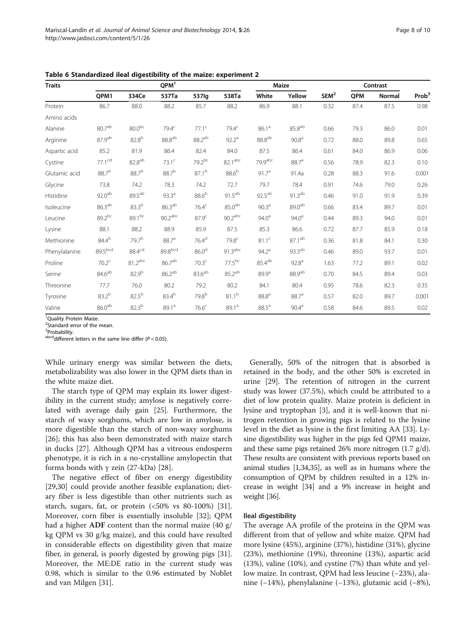| <b>Traits</b> |                    |                    | QPM <sup>1</sup>      |                    | Maize                 |                    |                    | Contrast         |      |        |                   |
|---------------|--------------------|--------------------|-----------------------|--------------------|-----------------------|--------------------|--------------------|------------------|------|--------|-------------------|
|               | QPM1               | 334Ce              | 537Ta                 | 537lg              | 538Ta                 | White              | Yellow             | SEM <sup>2</sup> | QPM  | Normal | Prob <sup>3</sup> |
| Protein       | 86.7               | 88.0               | 88.2                  | 85.7               | 88.2                  | 86.9               | 88.1               | 0.32             | 87.4 | 87.5   | 0.98              |
| Amino acids   |                    |                    |                       |                    |                       |                    |                    |                  |      |        |                   |
| Alanine       | $80.7^{\rm ab}$    | $80.0^{bc}$        | 79.4 <sup>c</sup>     | $77.1^c$           | 79.4 <sup>c</sup>     | 86.1 <sup>a</sup>  | $85.8^{ab}$        | 0.66             | 79.3 | 86.0   | 0.01              |
| Arginine      | 87.9 <sup>ab</sup> | $82.8^{b}$         | $88.8^{ab}$           | 88.2 <sup>ab</sup> | $92.2^{\circ}$        | $88.8^{ab}$        | 90.8 <sup>a</sup>  | 0.72             | 88.0 | 89.8   | 0.65              |
| Aspartic acid | 85.2               | 81.9               | 86.4                  | 82.4               | 84.0                  | 87.5               | 86.4               | 0.61             | 84.0 | 86.9   | 0.06              |
| Cystine       | $77.1^{cd}$        | $82.8^{ab}$        | $73.1^c$              | $79.2^{bc}$        | 82.1 <sup>abc</sup>   | 79.9abc            | 88.7 <sup>a</sup>  | 0.56             | 78.9 | 82.3   | 0.10              |
| Glutamic acid | 88.7 <sup>b</sup>  | $88.7^{b}$         | 88.7 <sup>b</sup>     | $87.1^{b}$         | $88.6^b$              | 91.7 <sup>a</sup>  | 91.4a              | 0.28             | 88.3 | 91.6   | 0.001             |
| Glycine       | 73.8               | 74.2               | 78.3                  | 74.2               | 72.7                  | 79.7               | 78.4               | 0.91             | 74.6 | 79.0   | 0.26              |
| Histidine     | 92.0 <sup>ab</sup> | $89.5^{ab}$        | 93.3 <sup>a</sup>     | $88.6^{b}$         | $91.5^{ab}$           | 92.5 <sup>ab</sup> | $91.3^{ab}$        | 0.46             | 91.0 | 91.9   | 0.39              |
| Isoleucine    | $86.3^{ab}$        | $83.3^{b}$         | 86.3 <sup>ab</sup>    | 76.4 <sup>c</sup>  | 85.0 <sup>ab</sup>    | 90.3 <sup>a</sup>  | $89.0^{ab}$        | 0.66             | 83.4 | 89.7   | 0.01              |
| Leucine       | 89.2bc             | $89.1^{bc}$        | $90.2$ <sup>abc</sup> | 87.9 <sup>c</sup>  | $90.2$ <sup>abc</sup> | $94.0^{\circ}$     | $94.0^{\rm a}$     | 0.44             | 89.3 | 94.0   | 0.01              |
| Lysine        | 88.1               | 88.2               | 88.9                  | 85.9               | 87.5                  | 85.3               | 86.6               | 0.72             | 87.7 | 85.9   | 0.18              |
| Methionine    | 84.4 <sup>b</sup>  | 79.7 <sup>b</sup>  | 88.7 <sup>a</sup>     | 76.4 <sup>d</sup>  | 79.8 <sup>c</sup>     | 81.1 <sup>c</sup>  | $87.1^{\rm ab}$    | 0.36             | 81.8 | 84.1   | 0.30              |
| Phenylalanine | 89.5bcd            | 88.4 <sup>cd</sup> | 89.8bcd               | 86.0 <sup>d</sup>  | $91.3$ <sup>abc</sup> | 94.2 <sup>a</sup>  | $93.3^{ab}$        | 0.46             | 89.0 | 93.7   | 0.01              |
| Proline       | 70.2 <sup>c</sup>  | $81.2$ abc         | 86.7 <sup>ab</sup>    | 70.3 <sup>c</sup>  | $77.5^{bc}$           | 85.4 <sup>ab</sup> | 92.8 <sup>a</sup>  | 1.63             | 77.2 | 89.1   | 0.02              |
| Serine        | $84.6^{\sf ab}$    | $82.9^{b}$         | $86.2^{ab}$           | $83.6^{ab}$        | $85.2^{ab}$           | 89.9 <sup>a</sup>  | 88.9 <sup>ab</sup> | 0.70             | 84.5 | 89.4   | 0.03              |
| Threonine     | 77.7               | 76.0               | 80.2                  | 79.2               | 80.2                  | 84.1               | 80.4               | 0.95             | 78.6 | 82.3   | 0.35              |
| Tyrosine      | $83.2^{b}$         | $82.5^{b}$         | 83.4 <sup>b</sup>     | 79.8 <sup>b</sup>  | $81.1^{b}$            | 88.8 <sup>a</sup>  | 88.7 <sup>a</sup>  | 0.57             | 82.0 | 89.7   | 0.001             |
| Valine        | 86.0 <sup>ab</sup> | $82.3^{b}$         | 89.1 <sup>a</sup>     | 76.6 <sup>c</sup>  | 89.1 <sup>a</sup>     | 88.5 <sup>a</sup>  | $90.4^{\text{a}}$  | 0.58             | 84.6 | 89.5   | 0.02              |

<span id="page-7-0"></span>Table 6 Standardized ileal digestibility of the maize: experiment 2

<sup>1</sup>Quality Protein Maize.

<sup>2</sup>Standard error of the mean.

<sup>3</sup>Probability.

abcddifferent letters in the same line differ ( $P < 0.05$ ).

While urinary energy was similar between the diets, metabolizability was also lower in the QPM diets than in the white maize diet.

The starch type of QPM may explain its lower digestibility in the current study; amylose is negatively correlated with average daily gain [[25\]](#page-9-0). Furthermore, the starch of waxy sorghums, which are low in amylose, is more digestible than the starch of non-waxy sorghums [[26\]](#page-9-0); this has also been demonstrated with maize starch in ducks [\[27](#page-9-0)]. Although QPM has a vitreous endosperm phenotype, it is rich in a no-crystalline amylopectin that forms bonds with γ zein (27-kDa) [\[28](#page-9-0)].

The negative effect of fiber on energy digestibility [[29,30\]](#page-9-0) could provide another feasible explanation; dietary fiber is less digestible than other nutrients such as starch, sugars, fat, or protein  $(50\% \text{ vs } 80-100\%)$  [\[31](#page-9-0)]. Moreover, corn fiber is essentially insoluble [[32\]](#page-9-0); QPM had a higher ADF content than the normal maize (40 g/ kg QPM vs 30 g/kg maize), and this could have resulted in considerable effects on digestibility given that maize fiber, in general, is poorly digested by growing pigs [\[31](#page-9-0)]. Moreover, the ME:DE ratio in the current study was 0.98, which is similar to the 0.96 estimated by Noblet and van Milgen [[31\]](#page-9-0).

Generally, 50% of the nitrogen that is absorbed is retained in the body, and the other 50% is excreted in urine [\[29\]](#page-9-0). The retention of nitrogen in the current study was lower (37.5%), which could be attributed to a diet of low protein quality. Maize protein is deficient in lysine and tryptophan [[3\]](#page-8-0), and it is well-known that nitrogen retention in growing pigs is related to the lysine level in the diet as lysine is the first limiting AA [\[33\]](#page-9-0). Lysine digestibility was higher in the pigs fed QPM1 maize, and these same pigs retained 26% more nitrogen (1.7 g/d). These results are consistent with previous reports based on animal studies [[1](#page-8-0)[,34,35](#page-9-0)], as well as in humans where the consumption of QPM by children resulted in a 12% increase in weight [\[34\]](#page-9-0) and a 9% increase in height and weight [\[36\]](#page-9-0).

#### Ileal digestibility

The average AA profile of the proteins in the QPM was different from that of yellow and white maize. QPM had more lysine (45%), arginine (37%), histidine (31%), glycine (23%), methionine (19%), threonine (13%), aspartic acid (13%), valine (10%), and cystine (7%) than white and yellow maize. In contrast, QPM had less leucine (−23%), alanine (−14%), phenylalanine (−13%), glutamic acid (−8%),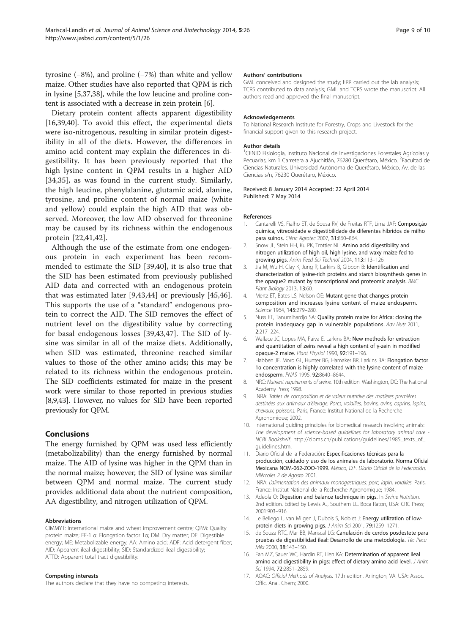<span id="page-8-0"></span>tyrosine (−8%), and proline (−7%) than white and yellow maize. Other studies have also reported that QPM is rich in lysine [5,[37,38](#page-9-0)], while the low leucine and proline content is associated with a decrease in zein protein [6].

Dietary protein content affects apparent digestibility [16,[39,40\]](#page-9-0). To avoid this effect, the experimental diets were iso-nitrogenous, resulting in similar protein digestibility in all of the diets. However, the differences in amino acid content may explain the differences in digestibility. It has been previously reported that the high lysine content in QPM results in a higher AID [[34,35\]](#page-9-0), as was found in the current study. Similarly, the high leucine, phenylalanine, glutamic acid, alanine, tyrosine, and proline content of normal maize (white and yellow) could explain the high AID that was observed. Moreover, the low AID observed for threonine may be caused by its richness within the endogenous protein [[22,41,42](#page-9-0)].

Although the use of the estimate from one endogenous protein in each experiment has been recommended to estimate the SID [\[39,40](#page-9-0)], it is also true that the SID has been estimated from previously published AID data and corrected with an endogenous protein that was estimated later [9,[43,44](#page-9-0)] or previously [[45,46](#page-9-0)]. This supports the use of a "standard" endogenous protein to correct the AID. The SID removes the effect of nutrient level on the digestibility value by correcting for basal endogenous losses [[39,43](#page-9-0),[47\]](#page-9-0). The SID of lysine was similar in all of the maize diets. Additionally, when SID was estimated, threonine reached similar values to those of the other amino acids; this may be related to its richness within the endogenous protein. The SID coefficients estimated for maize in the present work were similar to those reported in previous studies [8,9[,43\]](#page-9-0). However, no values for SID have been reported previously for QPM.

# Conclusions

The energy furnished by QPM was used less efficiently (metabolizability) than the energy furnished by normal maize. The AID of lysine was higher in the QPM than in the normal maize; however, the SID of lysine was similar between QPM and normal maize. The current study provides additional data about the nutrient composition, AA digestibility, and nitrogen utilization of QPM.

#### Abbreviations

CIMMYT: International maize and wheat improvement centre; QPM: Quality protein maize; EF-1 α: Elongation factor 1α; DM: Dry matter; DE: Digestible energy; ME: Metabolizable energy; AA: Amino acid; ADF: Acid detergent fiber; AID: Apparent ileal digestibility; SID: Standardized ileal digestibility; ATTD: Apparent total tract digestibility.

#### Competing interests

The authors declare that they have no competing interests.

#### Authors' contributions

GML conceived and designed the study; ERR carried out the lab analysis; TCRS contributed to data analysis; GML and TCRS wrote the manuscript. All authors read and approved the final manuscript.

#### Acknowledgements

To National Research Institute for Forestry, Crops and Livestock for the financial support given to this research project.

#### Author details

<sup>1</sup>CENID Fisiología, Instituto Nacional de Investigaciones Forestales Agrícolas y Pecuarias, km 1 Carretera a Ajuchitlán, 76280 Querétaro, México. <sup>2</sup>Facultad de Ciencias Naturales, Universidad Autónoma de Querétaro, México, Av. de las Ciencias s/n, 76230 Querétaro, México.

Received: 8 January 2014 Accepted: 22 April 2014 Published: 7 May 2014

#### References

- 1. Cantarelli VS, Fialho ET, de Sousa RV, de Freitas RTF, Lima JAF: Composição química, vitreosidade e digestibilidade de diferentes híbridos de milho para suínos. Ciênc Agrotec 2007, 31:860–864.
- 2. Snow JL, Stein HH, Ku PK, Trottier NL: Amino acid digestibility and nitrogen utilization of high oil, high lysine, and waxy maize fed to growing pigs. Anim Feed Sci Technol 2004, 113:113–126.
- 3. Jia M, Wu H, Clay K, Jung R, Larkins B, Gibbon B: Identification and characterization of lysine-rich proteins and starch biosynthesis genes in the opaque2 mutant by transcriptional and proteomic analysis. BMC Plant Biology 2013, 13:60.
- 4. Mertz ET, Bates LS, Nelson OE: Mutant gene that changes protein composition and increases lysine content of maize endosperm. Science 1964, 145:279–280.
- Nuss ET, Tanumihardjo SA: Quality protein maize for Africa: closing the protein inadequacy gap in vulnerable populations. Adv Nutr 2011, 2:217–224.
- 6. Wallace JC, Lopes MA, Paiva E, Larkins BA: New methods for extraction and quantitation of zeins reveal a high content of γ-zein in modified opaque-2 maize. Plant Physiol 1990, 92:191–196.
- 7. Habben JE, Moro GL, Hunter BG, Hamaker BR, Larkins BA: Elongation factor 1α concentration is highly correlated with the lysine content of maize endosperm. PNAS 1995, 92:8640–8644.
- 8. NRC: Nutrient requirements of swine. 10th edition. Washington, DC: The National Academy Press; 1998.
- 9. INRA: Tables de composition et de valeur nutritive des matières premières destinées aux animaux d'élevage. Porcs, volailles, bovins, ovins, caprins, lapins, chevaux, poissons. Paris, France: Institut National de la Recherche Agronomique; 2002.
- 10. International guiding principles for biomedical research involving animals: The development of science-based guidelines for laboratory animal care - NCBI Bookshelf. [http://cioms.ch/publications/guidelines/1985\\_texts\\_of\\_](http://cioms.ch/publications/guidelines/1985_texts_of_guidelines.htm) [guidelines.htm.](http://cioms.ch/publications/guidelines/1985_texts_of_guidelines.htm)
- 11. Diario Oficial de la Federación: Especificaciones técnicas para la producción, cuidado y uso de los animales de laboratorio. Norma Oficial Mexicana NOM-062-ZOO-1999. México, D.F. Diario Oficial de la Federación, Miércoles 2 de Agosto 2001.
- 12. INRA: L'alimentation des animaux monogastriques: porc, lapin, volailles. Paris, France: Institut National de la Recherche Agronomique; 1984.
- 13. Adeola O: Digestion and balance technique in pigs. In Swine Nutrition. 2nd edition. Edited by Lewis AJ, Southern LL. Boca Raton, USA: CRC Press; 2001:903–916.
- 14. Le Bellego L, van Milgen J, Dubois S, Noblet J: Energy utilization of lowprotein diets in growing pigs. J Anim Sci 2001, 79:1259-1271.
- 15. de Souza RTC, Mar BB, Mariscal LG: Canulación de cerdos posdestete para pruebas de digestibilidad ileal: Desarrollo de una metodología. Téc Pecu Méx 2000, 38:143–150.
- 16. Fan MZ, Sauer WC, Hardin RT, Lien KA: Determination of apparent ileal amino acid digestibility in pigs: effect of dietary amino acid level. J Anim Sci 1994, 72:2851–2859.
- 17. AOAC: Official Methods of Analysis. 17th edition. Arlington, VA. USA: Assoc. Offic. Anal. Chem; 2000.